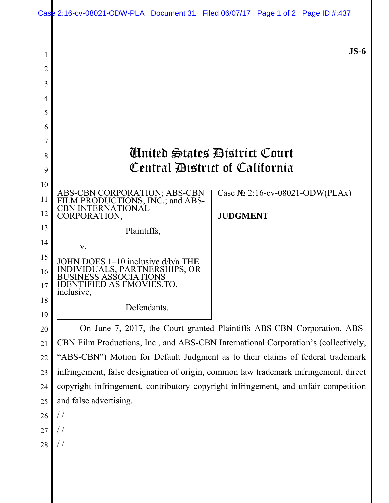|    | Case 2:16-cv-08021-ODW-PLA Document 31 Filed 06/07/17 Page 1 of 2 Page ID #:437      |                 |  |                                    |
|----|--------------------------------------------------------------------------------------|-----------------|--|------------------------------------|
| 1  |                                                                                      |                 |  | $JS-6$                             |
| 2  |                                                                                      |                 |  |                                    |
| 3  |                                                                                      |                 |  |                                    |
| 4  |                                                                                      |                 |  |                                    |
| 5  |                                                                                      |                 |  |                                    |
| 6  |                                                                                      |                 |  |                                    |
| 7  |                                                                                      |                 |  |                                    |
| 8  | <b>Anited States District Court</b>                                                  |                 |  |                                    |
| 9  | Central District of California                                                       |                 |  |                                    |
| 10 |                                                                                      |                 |  |                                    |
| 11 | ABS-CBN CORPORATION; ABS-CBN<br>FILM PRODUCTIONS, INC.; and ABS-                     |                 |  | Case $N_2$ 2:16-cv-08021-ODW(PLAx) |
| 12 | <b>CBN INTERNATIONAL</b><br>CORPORATION,                                             | <b>JUDGMENT</b> |  |                                    |
| 13 | Plaintiffs,                                                                          |                 |  |                                    |
| 14 | V.                                                                                   |                 |  |                                    |
| 15 | JOHN DOES 1–10 inclusive d/b/a THE                                                   |                 |  |                                    |
| 16 | ERSHIPS, OR                                                                          |                 |  |                                    |
| 17 | <b>IDENTIFIED AS FMOVIES.TO,</b><br>inclusive,                                       |                 |  |                                    |
| 18 | Defendants.                                                                          |                 |  |                                    |
| 19 |                                                                                      |                 |  |                                    |
| 20 | On June 7, 2017, the Court granted Plaintiffs ABS-CBN Corporation, ABS-              |                 |  |                                    |
| 21 | CBN Film Productions, Inc., and ABS-CBN International Corporation's (collectively,   |                 |  |                                    |
| 22 | "ABS-CBN") Motion for Default Judgment as to their claims of federal trademark       |                 |  |                                    |
| 23 | infringement, false designation of origin, common law trademark infringement, direct |                 |  |                                    |
| 24 | copyright infringement, contributory copyright infringement, and unfair competition  |                 |  |                                    |
| 25 | and false advertising.                                                               |                 |  |                                    |
| 26 | $\frac{1}{2}$                                                                        |                 |  |                                    |
| 27 | $\frac{1}{2}$                                                                        |                 |  |                                    |
| 28 |                                                                                      |                 |  |                                    |
|    |                                                                                      |                 |  |                                    |
|    |                                                                                      |                 |  |                                    |